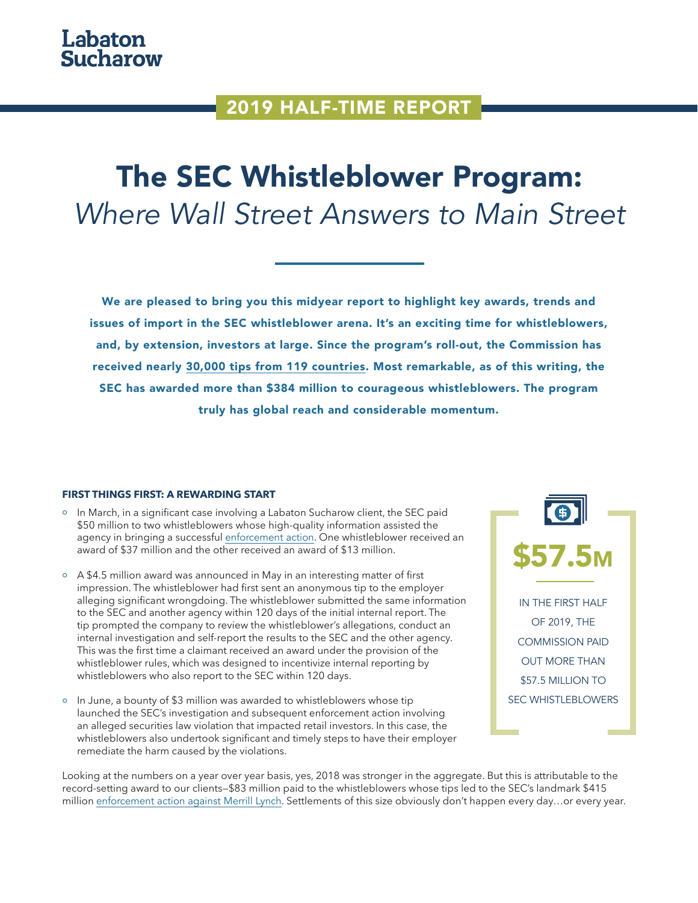## 2019 HALF-TIME REPORT

# The SEC Whistleblower Program: *Where Wall Street Answers to Main Street*

We are pleased to bring you this midyear report to highlight key awards, trends and issues of import in the SEC whistleblower arena. It's an exciting time for whistleblowers, and, by extension, investors at large. Since the program's roll-out, the Commission has received nearly [30,000 tips from 119 countries.](https://www.secwhistlebloweradvocate.com/sec-whistleblower-facts-and-figures/) Most remarkable, as of this writing, the SEC has awarded more than \$384 million to courageous whistleblowers. The program truly has global reach and considerable momentum.

#### **FIRST THINGS FIRST: A REWARDING START**

- o In March, in a significant case involving a Labaton Sucharow client, the SEC paid \$50 million to two whistleblowers whose high-quality information assisted the agency in bringing a successful [enforcement action](https://www.secwhistlebloweradvocate.com/insights/labaton-sucharow-whistleblower-awarded-13-million-for-reporting-securities-violations-leading-to-267-million-enforcement-action-against-jpmorgan/). One whistleblower received an award of \$37 million and the other received an award of \$13 million.
- A \$4.5 million award was announced in May in an interesting matter of first impression. The whistleblower had first sent an anonymous tip to the employer alleging significant wrongdoing. The whistleblower submitted the same information to the SEC and another agency within 120 days of the initial internal report. The tip prompted the company to review the whistleblower's allegations, conduct an internal investigation and self-report the results to the SEC and the other agency. This was the first time a claimant received an award under the provision of the whistleblower rules, which was designed to incentivize internal reporting by whistleblowers who also report to the SEC within 120 days.
- $\circ$  In June, a bounty of \$3 million was awarded to whistleblowers whose tip launched the SEC's investigation and subsequent enforcement action involving an alleged securities law violation that impacted retail investors. In this case, the whistleblowers also undertook significant and timely steps to have their employer remediate the harm caused by the violations.



Looking at the numbers on a year over year basis, yes, 2018 was stronger in the aggregate. But this is attributable to the record-setting award to our clients—\$83 million paid to the whistleblowers whose tips led to the SEC's landmark \$415 million [enforcement action against Merrill Lynch](https://www.secwhistlebloweradvocate.com/insights/labaton-whistleblowers-earn-largest-sec-whistleblower-awards-history/). Settlements of this size obviously don't happen every day…or every year.